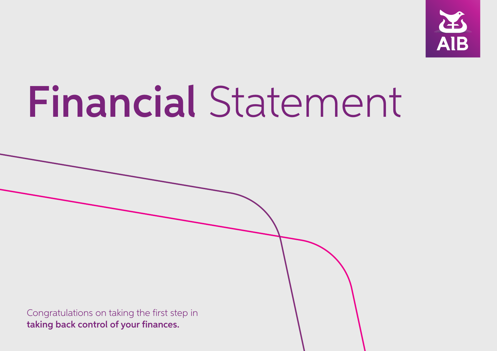

# Financial Statement

Congratulations on taking the first step in taking back control of your finances.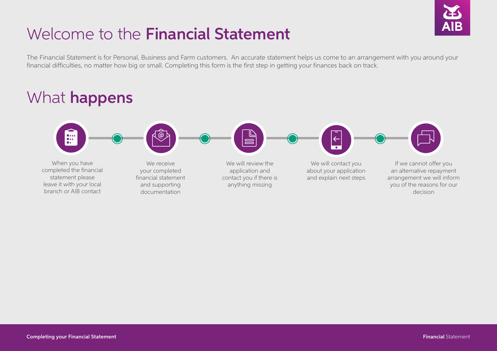# Welcome to the Financial Statement

The Financial Statement is for Personal, Business and Farm customers. An accurate statement helps us come to an arrangement with you around your financial difficulties, no matter how big or small. Completing this form is the first step in getting your finances back on track.

#### 一 When you have We will contact you If we cannot offer you We receive We will review the completed the financial your completed application and about your application an alternative repayment statement please contact you if there is and explain next steps arrangement we will inform financial statement leave it with your local and supporting anything missing you of the reasons for our branch or AIB contactdocumentation decision

## What **happens**

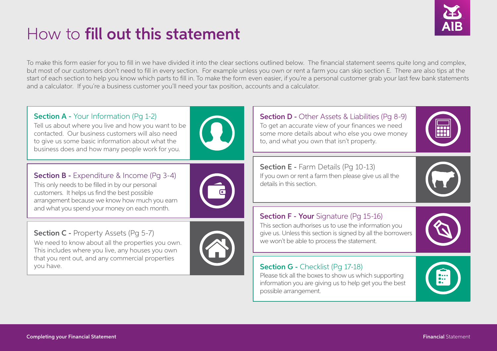

# How to fill out this statement

To make this form easier for you to fill in we have divided it into the clear sections outlined below. The financial statement seems quite long and complex, but most of our customers don't need to fill in every section. For example unless you own or rent a farm you can skip section E. There are also tips at the start of each section to help you know which parts to fill in. To make the form even easier, if you're a personal customer grab your last few bank statements and a calculator. If you're a business customer you'll need your tax position, accounts and a calculator.



Tell us about where you live and how you want to be contacted. Our business customers will also need to give us some basic information about what the business does and how many people work for you.



## **Section B -** Expenditure & Income (Pg 3-4)

This only needs to be filled in by our personal customers. It helps us find the best possible arrangement because we know how much you earn and what you spend your money on each month.



Section C - Property Assets (Pq 5-7) We need to know about all the properties you own. This includes where you live, any houses you own that you rent out, and any commercial properties you have.



Section D - Other Assets & Liabilities (Pg 8-9) To get an accurate view of your finances we need some more details about who else you owe money to, and what you own that isn't property.



Section E - Farm Details (Pq 10-13) If you own or rent a farm then please give us all the details in this section.

## **Section F - Your** Signature (Pg 15-16)

This section authorises us to use the information you give us. Unless this section is signed by all the borrowers we won't be able to process the statement.



## Section G - Checklist (Pq 17-18)

Please tick all the boxes to show us which supporting information you are giving us to help get you the best possible arrangement.

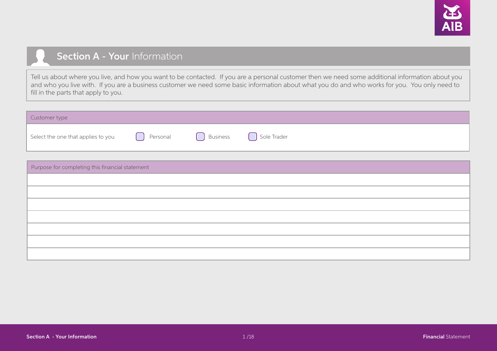

## Section A - Your Information

Tell us about where you live, and how you want to be contacted. If you are a personal customer then we need some additional information about you and who you live with. If you are a business customer we need some basic information about what you do and who works for you. You only need to fill in the parts that apply to you.

| Customer type                      |          |                 |             |
|------------------------------------|----------|-----------------|-------------|
| Select the one that applies to you | Personal | <b>Business</b> | Sole Trader |

| Purpose for completing this financial statement |  |  |  |  |  |  |
|-------------------------------------------------|--|--|--|--|--|--|
|                                                 |  |  |  |  |  |  |
|                                                 |  |  |  |  |  |  |
|                                                 |  |  |  |  |  |  |
|                                                 |  |  |  |  |  |  |
|                                                 |  |  |  |  |  |  |
|                                                 |  |  |  |  |  |  |
|                                                 |  |  |  |  |  |  |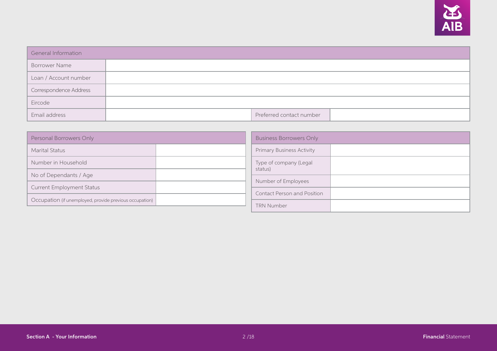

| General Information    |                          |  |
|------------------------|--------------------------|--|
| <b>Borrower Name</b>   |                          |  |
| Loan / Account number  |                          |  |
| Correspondence Address |                          |  |
| Eircode                |                          |  |
| Email address          | Preferred contact number |  |

| Personal Borrowers Only                                 | <b>Business Borrowers Only</b>     |  |  |  |  |
|---------------------------------------------------------|------------------------------------|--|--|--|--|
| <b>Marital Status</b>                                   | <b>Primary Business Activity</b>   |  |  |  |  |
| Number in Household                                     | Type of company (Legal             |  |  |  |  |
| No of Dependants / Age                                  | status)<br>Number of Employees     |  |  |  |  |
| <b>Current Employment Status</b>                        | <b>Contact Person and Position</b> |  |  |  |  |
| Occupation (if unemployed, provide previous occupation) | <b>TRN Number</b>                  |  |  |  |  |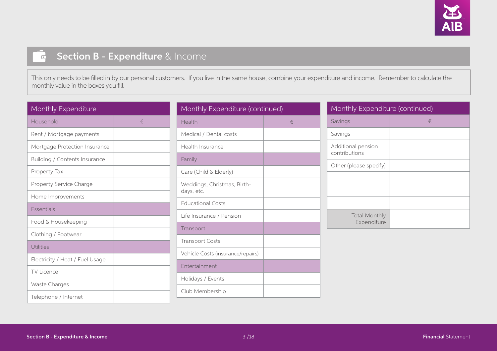

### Section B - Expenditure & Income  $\overline{\mathbf{C}}$

This only needs to be filled in by our personal customers. If you live in the same house, combine your expenditure and income. Remember to calculate the monthly value in the boxes you fill.

| Monthly Expenditure             |   |
|---------------------------------|---|
| Household                       | € |
| Rent / Mortgage payments        |   |
| Mortgage Protection Insurance   |   |
| Building / Contents Insurance   |   |
| Property Tax                    |   |
| Property Service Charge         |   |
| Home Improvements               |   |
| <b>Essentials</b>               |   |
| Food & Housekeeping             |   |
| Clothing / Footwear             |   |
| Utilities                       |   |
| Electricity / Heat / Fuel Usage |   |
| <b>TV Licence</b>               |   |
| Waste Charges                   |   |
| Telephone / Internet            |   |

| Monthly Expenditure (continued)           |       |  |  |  |  |  |  |
|-------------------------------------------|-------|--|--|--|--|--|--|
| Health                                    | $\in$ |  |  |  |  |  |  |
| Medical / Dental costs                    |       |  |  |  |  |  |  |
| Health Insurance                          |       |  |  |  |  |  |  |
| Family                                    |       |  |  |  |  |  |  |
| Care (Child & Elderly)                    |       |  |  |  |  |  |  |
| Weddings, Christmas, Birth-<br>days, etc. |       |  |  |  |  |  |  |
| <b>Educational Costs</b>                  |       |  |  |  |  |  |  |
| Life Insurance / Pension                  |       |  |  |  |  |  |  |
| Transport                                 |       |  |  |  |  |  |  |
| <b>Transport Costs</b>                    |       |  |  |  |  |  |  |
| Vehicle Costs (insurance/repairs)         |       |  |  |  |  |  |  |
| Entertainment                             |       |  |  |  |  |  |  |
| Holidays / Events                         |       |  |  |  |  |  |  |
| Club Membership                           |       |  |  |  |  |  |  |

| Monthly Expenditure (continued)     |   |  |  |  |  |  |
|-------------------------------------|---|--|--|--|--|--|
| Savings                             | € |  |  |  |  |  |
| Savings                             |   |  |  |  |  |  |
| Additional pension<br>contributions |   |  |  |  |  |  |
| Other (please specify)              |   |  |  |  |  |  |
|                                     |   |  |  |  |  |  |
|                                     |   |  |  |  |  |  |
|                                     |   |  |  |  |  |  |
| <b>Total Monthly</b><br>Expenditure |   |  |  |  |  |  |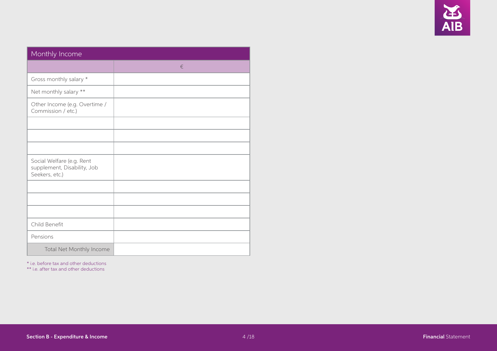

| Monthly Income                                                             |       |  |  |  |  |  |  |  |
|----------------------------------------------------------------------------|-------|--|--|--|--|--|--|--|
|                                                                            | $\in$ |  |  |  |  |  |  |  |
| Gross monthly salary *                                                     |       |  |  |  |  |  |  |  |
| Net monthly salary **                                                      |       |  |  |  |  |  |  |  |
| Other Income (e.g. Overtime /<br>Commission / etc.)                        |       |  |  |  |  |  |  |  |
|                                                                            |       |  |  |  |  |  |  |  |
|                                                                            |       |  |  |  |  |  |  |  |
|                                                                            |       |  |  |  |  |  |  |  |
| Social Welfare (e.g. Rent<br>supplement, Disability, Job<br>Seekers, etc.) |       |  |  |  |  |  |  |  |
|                                                                            |       |  |  |  |  |  |  |  |
|                                                                            |       |  |  |  |  |  |  |  |
|                                                                            |       |  |  |  |  |  |  |  |
| Child Benefit                                                              |       |  |  |  |  |  |  |  |
| Pensions                                                                   |       |  |  |  |  |  |  |  |
| Total Net Monthly Income                                                   |       |  |  |  |  |  |  |  |

\* i.e. before tax and other deductions

\*\* i.e. after tax and other deductions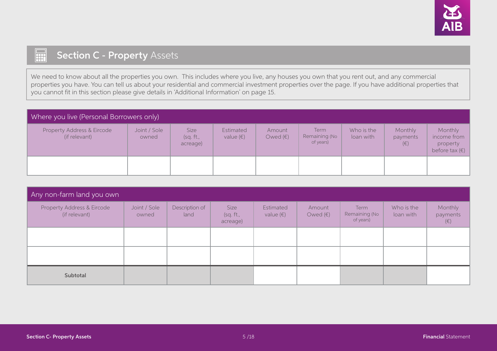

## 扁 **Section C - Property Assets**

We need to know about all the properties you own. This includes where you live, any houses you own that you rent out, and any commercial properties you have. You can tell us about your residential and commercial investment properties over the page. If you have additional properties that you cannot fit in this section please give details in 'Additional Information' on page 15.

| Where you live (Personal Borrowers only)    |                       |                               |                                 |                             |                                    |                         |                                |                                                               |  |  |
|---------------------------------------------|-----------------------|-------------------------------|---------------------------------|-----------------------------|------------------------------------|-------------------------|--------------------------------|---------------------------------------------------------------|--|--|
| Property Address & Eircode<br>(if relevant) | Joint / Sole<br>owned | Size<br>(sq. ft.,<br>acreage) | Estimated<br>value $(\epsilon)$ | Amount<br>Owed $(\epsilon)$ | Term<br>Remaining (No<br>of years) | Who is the<br>loan with | Monthly<br>payments<br>$(\in)$ | Monthly<br>income from<br>property<br>before tax $(\epsilon)$ |  |  |
|                                             |                       |                               |                                 |                             |                                    |                         |                                |                                                               |  |  |

| Any non-farm land you own                   |                       |                        |                               |                                 |                             |                                    |                         |                                |  |  |
|---------------------------------------------|-----------------------|------------------------|-------------------------------|---------------------------------|-----------------------------|------------------------------------|-------------------------|--------------------------------|--|--|
| Property Address & Eircode<br>(if relevant) | Joint / Sole<br>owned | Description of<br>land | Size<br>(sq. ft.,<br>acreage) | Estimated<br>value $(\epsilon)$ | Amount<br>Owed $(\epsilon)$ | Term<br>Remaining (No<br>of years) | Who is the<br>loan with | Monthly<br>payments<br>$(\in)$ |  |  |
|                                             |                       |                        |                               |                                 |                             |                                    |                         |                                |  |  |
|                                             |                       |                        |                               |                                 |                             |                                    |                         |                                |  |  |
| Subtotal                                    |                       |                        |                               |                                 |                             |                                    |                         |                                |  |  |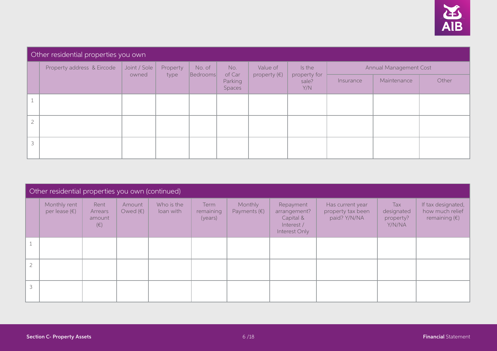

#### Other residential properties you own Property address & Eircode Joint / Sole owned Property type No. of Bedrooms No. of Car Parking Spaces Value of property (€) Is the property for sale? Y/N Annual Management Cost Insurance Maintenance Other 1 2 3

|               | Other residential properties you own (continued) |                                      |                             |                         |                              |                                  |                                                                       |                                                       |                                          |                                                                 |  |  |
|---------------|--------------------------------------------------|--------------------------------------|-----------------------------|-------------------------|------------------------------|----------------------------------|-----------------------------------------------------------------------|-------------------------------------------------------|------------------------------------------|-----------------------------------------------------------------|--|--|
|               | Monthly rent<br>per lease $(\epsilon)$           | Rent<br>Arrears<br>amount<br>$(\in)$ | Amount<br>Owed $(\epsilon)$ | Who is the<br>loan with | Term<br>remaining<br>(years) | Monthly<br>Payments $(\epsilon)$ | Repayment<br>arrangement?<br>Capital &<br>Interest /<br>Interest Only | Has current year<br>property tax been<br>paid? Y/N/NA | Tax<br>designated<br>property?<br>Y/N/NA | If tax designated,<br>how much relief<br>remaining $(\epsilon)$ |  |  |
|               |                                                  |                                      |                             |                         |                              |                                  |                                                                       |                                                       |                                          |                                                                 |  |  |
| $\mathcal{D}$ |                                                  |                                      |                             |                         |                              |                                  |                                                                       |                                                       |                                          |                                                                 |  |  |
| 3             |                                                  |                                      |                             |                         |                              |                                  |                                                                       |                                                       |                                          |                                                                 |  |  |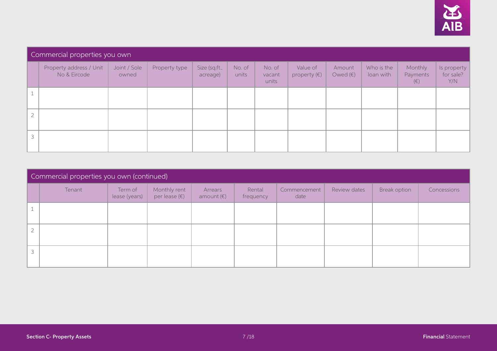

| Commercial properties you own           |                       |               |                           |                 |                           |                                   |                             |                         |                                |                                 |  |
|-----------------------------------------|-----------------------|---------------|---------------------------|-----------------|---------------------------|-----------------------------------|-----------------------------|-------------------------|--------------------------------|---------------------------------|--|
| Property address / Unit<br>No & Eircode | Joint / Sole<br>owned | Property type | Size (sq.ft.,<br>acreage) | No. of<br>units | No. of<br>vacant<br>units | Value of<br>property $(\epsilon)$ | Amount<br>Owed $(\epsilon)$ | Who is the<br>loan with | Monthly<br>Payments<br>$(\in)$ | Is property<br>for sale?<br>Y/N |  |
|                                         |                       |               |                           |                 |                           |                                   |                             |                         |                                |                                 |  |
|                                         |                       |               |                           |                 |                           |                                   |                             |                         |                                |                                 |  |
|                                         |                       |               |                           |                 |                           |                                   |                             |                         |                                |                                 |  |

|                          | Commercial properties you own (continued) |                          |                                        |                                |                     |                      |              |              |             |
|--------------------------|-------------------------------------------|--------------------------|----------------------------------------|--------------------------------|---------------------|----------------------|--------------|--------------|-------------|
|                          | Tenant                                    | Term of<br>lease (years) | Monthly rent<br>per lease $(\epsilon)$ | Arrears<br>amount $(\epsilon)$ | Rental<br>frequency | Commencement<br>date | Review dates | Break option | Concessions |
|                          |                                           |                          |                                        |                                |                     |                      |              |              |             |
| $\sim$                   |                                           |                          |                                        |                                |                     |                      |              |              |             |
| $\overline{\phantom{0}}$ |                                           |                          |                                        |                                |                     |                      |              |              |             |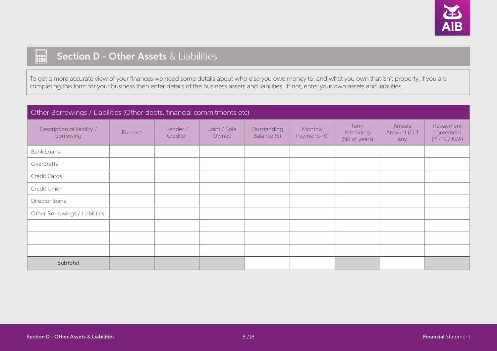

## **THE** Section D - Other Assets & Liabilities

To get a more accurate view of your finances we need some details about who else you owe money to, and what you own that isn't property. If you are completing this form for your business then enter details of the business assets and liabilities. If not, enter your own assets and liabilities.

| Other Borrowings / Liabilities (Other debts, financial commitments etc) |         |                      |                       |                                     |                                  |                                    |                                          |                                         |
|-------------------------------------------------------------------------|---------|----------------------|-----------------------|-------------------------------------|----------------------------------|------------------------------------|------------------------------------------|-----------------------------------------|
| Description of liability /<br>borrowing                                 | Purpose | Lender /<br>Creditor | Joint / Sole<br>Owned | Outstanding<br>Balance $(\epsilon)$ | Monthly<br>Payments $(\epsilon)$ | Term<br>remaining<br>(No of years) | Arrears<br>Amount $(\epsilon)$ if<br>any | Repayment<br>agreement<br>(Y / N / N/A) |
| <b>Bank Loans</b>                                                       |         |                      |                       |                                     |                                  |                                    |                                          |                                         |
| Overdrafts                                                              |         |                      |                       |                                     |                                  |                                    |                                          |                                         |
| Credit Cards                                                            |         |                      |                       |                                     |                                  |                                    |                                          |                                         |
| Credit Union                                                            |         |                      |                       |                                     |                                  |                                    |                                          |                                         |
| Director loans                                                          |         |                      |                       |                                     |                                  |                                    |                                          |                                         |
| Other Borrowings / Liabilities                                          |         |                      |                       |                                     |                                  |                                    |                                          |                                         |
|                                                                         |         |                      |                       |                                     |                                  |                                    |                                          |                                         |
|                                                                         |         |                      |                       |                                     |                                  |                                    |                                          |                                         |
|                                                                         |         |                      |                       |                                     |                                  |                                    |                                          |                                         |
| Subtotal                                                                |         |                      |                       |                                     |                                  |                                    |                                          |                                         |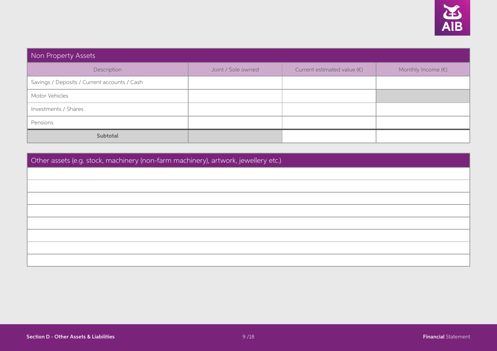

| Non Property Assets                          |                    |                                      |                             |  |  |
|----------------------------------------------|--------------------|--------------------------------------|-----------------------------|--|--|
| Description                                  | Joint / Sole owned | Current estimated value $(\epsilon)$ | Monthly Income $(\epsilon)$ |  |  |
| Savings / Deposits / Current accounts / Cash |                    |                                      |                             |  |  |
| Motor Vehicles                               |                    |                                      |                             |  |  |
| Investments / Shares                         |                    |                                      |                             |  |  |
| Pensions                                     |                    |                                      |                             |  |  |
| Subtotal                                     |                    |                                      |                             |  |  |

Other assets (e.g. stock, machinery (non-farm machinery), artwork, jewellery etc.)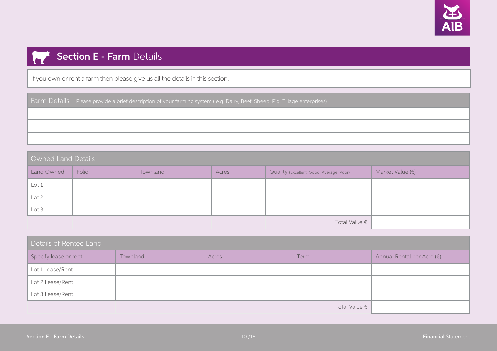

## **Section E - Farm Details**

If you own or rent a farm then please give us all the details in this section.

Farm Details - Please provide a brief description of your farming system (e.g. Dairy, Beef, Sheep, Pig, Tillage enterprises)

Owned Land Details Land Owned Folio Townland Townland Acres Quality (Excellent, Good, Average, Poor) Market Value (€) Lot 1 Lot 2 Lot 3 Total Value €

| Details of Rented Land |          |       |                        |                                     |  |  |
|------------------------|----------|-------|------------------------|-------------------------------------|--|--|
| Specify lease or rent  | Townland | Acres | Term                   | Annual Rental per Acre $(\epsilon)$ |  |  |
| Lot 1 Lease/Rent       |          |       |                        |                                     |  |  |
| Lot 2 Lease/Rent       |          |       |                        |                                     |  |  |
| Lot 3 Lease/Rent       |          |       |                        |                                     |  |  |
|                        |          |       | Total Value $\epsilon$ |                                     |  |  |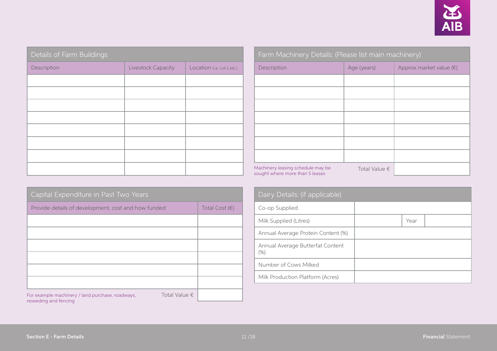| Details of Farm Buildings |                    |                            |  |  |  |
|---------------------------|--------------------|----------------------------|--|--|--|
| Description               | Livestock Capacity | Location (i.e. Lot 1 etc.) |  |  |  |
|                           |                    |                            |  |  |  |
|                           |                    |                            |  |  |  |
|                           |                    |                            |  |  |  |
|                           |                    |                            |  |  |  |
|                           |                    |                            |  |  |  |
|                           |                    |                            |  |  |  |
|                           |                    |                            |  |  |  |
|                           |                    |                            |  |  |  |

| Capital Expenditure in Past Two Years               |                        |                         |
|-----------------------------------------------------|------------------------|-------------------------|
| Provide details of development, cost and how funded |                        | Total Cost $(\epsilon)$ |
|                                                     |                        |                         |
|                                                     |                        |                         |
|                                                     |                        |                         |
|                                                     |                        |                         |
|                                                     |                        |                         |
|                                                     |                        |                         |
| For example machinery / land purchase, roadways,    | Total Value $\epsilon$ |                         |

| Farm Machinery Details: (Please list main machinery)                 |                        |                                  |  |  |  |  |
|----------------------------------------------------------------------|------------------------|----------------------------------|--|--|--|--|
| Description                                                          | Age (years)            | Approx market value $(\epsilon)$ |  |  |  |  |
|                                                                      |                        |                                  |  |  |  |  |
|                                                                      |                        |                                  |  |  |  |  |
|                                                                      |                        |                                  |  |  |  |  |
|                                                                      |                        |                                  |  |  |  |  |
|                                                                      |                        |                                  |  |  |  |  |
|                                                                      |                        |                                  |  |  |  |  |
|                                                                      |                        |                                  |  |  |  |  |
| Machinery leasing schedule may be<br>sought where more than 5 leases | Total Value $\epsilon$ |                                  |  |  |  |  |

| Dairy Details: (if applicable)              |  |      |  |  |  |
|---------------------------------------------|--|------|--|--|--|
| Co-op Supplied                              |  |      |  |  |  |
| Milk Supplied (Litres)                      |  | Year |  |  |  |
| Annual Average Protein Content (%)          |  |      |  |  |  |
| Annual Average Butterfat Content<br>$(\% )$ |  |      |  |  |  |
| Number of Cows Milked                       |  |      |  |  |  |
| Milk Production Platform (Acres)            |  |      |  |  |  |

reseeding and fencing

Total Value €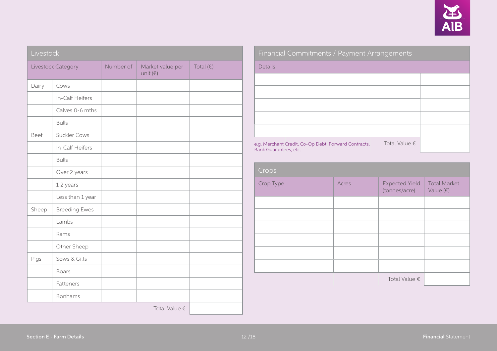

|       | Livestock            |  |                                       |                    |  |  |
|-------|----------------------|--|---------------------------------------|--------------------|--|--|
|       | Livestock Category   |  | Market value per<br>unit $(\epsilon)$ | Total $(\epsilon)$ |  |  |
| Dairy | Cows                 |  |                                       |                    |  |  |
|       | In-Calf Heifers      |  |                                       |                    |  |  |
|       | Calves 0-6 mths      |  |                                       |                    |  |  |
|       | <b>Bulls</b>         |  |                                       |                    |  |  |
| Beef  | Suckler Cows         |  |                                       |                    |  |  |
|       | In-Calf Heifers      |  |                                       |                    |  |  |
|       | <b>Bulls</b>         |  |                                       |                    |  |  |
|       | Over 2 years         |  |                                       |                    |  |  |
|       | 1-2 years            |  |                                       |                    |  |  |
|       | Less than 1 year     |  |                                       |                    |  |  |
| Sheep | <b>Breeding Ewes</b> |  |                                       |                    |  |  |
|       | Lambs                |  |                                       |                    |  |  |
|       | Rams                 |  |                                       |                    |  |  |
|       | Other Sheep          |  |                                       |                    |  |  |
| Pigs  | Sows & Gilts         |  |                                       |                    |  |  |
|       | <b>Boars</b>         |  |                                       |                    |  |  |
|       | Fatteners            |  |                                       |                    |  |  |
|       | Bonhams              |  |                                       |                    |  |  |
|       |                      |  | Total Value €                         |                    |  |  |

| Financial Commitments / Payment Arrangements                                  |                        |  |  |  |  |
|-------------------------------------------------------------------------------|------------------------|--|--|--|--|
| Details                                                                       |                        |  |  |  |  |
|                                                                               |                        |  |  |  |  |
|                                                                               |                        |  |  |  |  |
|                                                                               |                        |  |  |  |  |
|                                                                               |                        |  |  |  |  |
|                                                                               |                        |  |  |  |  |
| e.g. Merchant Credit, Co-Op Debt, Forward Contracts,<br>Bank Guarantees, etc. | Total Value $\epsilon$ |  |  |  |  |

| Crops     |       |                                        |                                           |
|-----------|-------|----------------------------------------|-------------------------------------------|
| Crop Type | Acres | <b>Expected Yield</b><br>(tonnes/acre) | <b>Total Market</b><br>Value $(\epsilon)$ |
|           |       |                                        |                                           |
|           |       |                                        |                                           |
|           |       |                                        |                                           |
|           |       |                                        |                                           |
|           |       |                                        |                                           |
|           |       |                                        |                                           |
|           |       | Total Value $\epsilon$                 |                                           |

×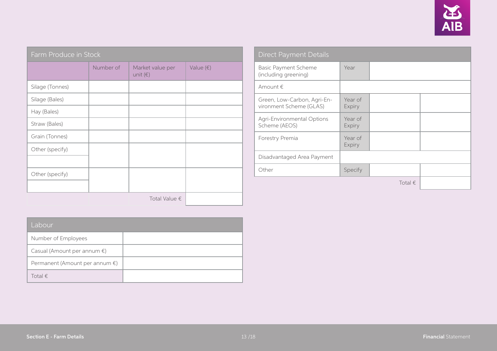

| Farm Produce in Stock |           |                                       |                    |  |  |  |
|-----------------------|-----------|---------------------------------------|--------------------|--|--|--|
|                       | Number of | Market value per<br>unit $(\epsilon)$ | Value $(\epsilon)$ |  |  |  |
| Silage (Tonnes)       |           |                                       |                    |  |  |  |
| Silage (Bales)        |           |                                       |                    |  |  |  |
| Hay (Bales)           |           |                                       |                    |  |  |  |
| Straw (Bales)         |           |                                       |                    |  |  |  |
| Grain (Tonnes)        |           |                                       |                    |  |  |  |
| Other (specify)       |           |                                       |                    |  |  |  |
|                       |           |                                       |                    |  |  |  |
| Other (specify)       |           |                                       |                    |  |  |  |
|                       |           |                                       |                    |  |  |  |
|                       |           | Total Value $\epsilon$                |                    |  |  |  |

| <b>Direct Payment Details</b>                          |                   |                  |  |  |  |
|--------------------------------------------------------|-------------------|------------------|--|--|--|
| <b>Basic Payment Scheme</b><br>(including greening)    | Year              |                  |  |  |  |
| Amount $\epsilon$                                      |                   |                  |  |  |  |
| Green, Low-Carbon, Agri-En-<br>vironment Scheme (GLAS) | Year of<br>Expiry |                  |  |  |  |
| Agri-Environmental Options<br>Scheme (AEOS)            | Year of<br>Expiry |                  |  |  |  |
| Forestry Premia                                        | Year of<br>Expiry |                  |  |  |  |
| Disadvantaged Area Payment                             |                   |                  |  |  |  |
| Other                                                  | Specify           |                  |  |  |  |
|                                                        |                   | Total $\epsilon$ |  |  |  |

| Labour                                   |  |  |  |  |  |
|------------------------------------------|--|--|--|--|--|
| Number of Employees                      |  |  |  |  |  |
| Casual (Amount per annum $\epsilon$ )    |  |  |  |  |  |
| Permanent (Amount per annum $\epsilon$ ) |  |  |  |  |  |
| Total $\in$                              |  |  |  |  |  |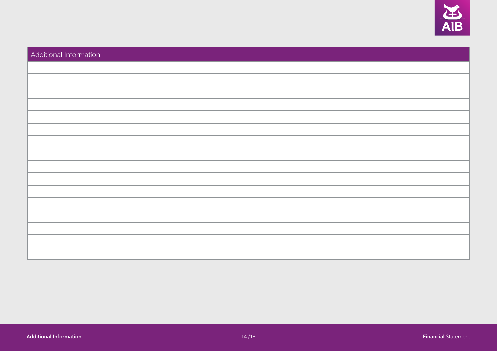

| Additional Information |  |
|------------------------|--|
|                        |  |
|                        |  |
|                        |  |
|                        |  |
|                        |  |
|                        |  |
|                        |  |
|                        |  |
|                        |  |
|                        |  |
|                        |  |
|                        |  |
|                        |  |
|                        |  |
|                        |  |
|                        |  |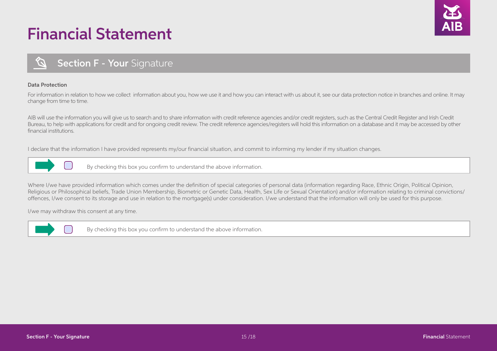# Financial Statement



## **Section F - Your Signature**

#### Data Protection

For information in relation to how we collect information about you, how we use it and how you can interact with us about it, see our data protection notice in branches and online. It may change from time to time.

AIB will use the information you will give us to search and to share information with credit reference agencies and/or credit registers, such as the Central Credit Register and Irish Credit Bureau, to help with applications for credit and for ongoing credit review. The credit reference agencies/registers will hold this information on a database and it may be accessed by other financial institutions.

I declare that the information I have provided represents my/our financial situation, and commit to informing my lender if my situation changes.



By checking this box you confirm to understand the above information.

Where I/we have provided information which comes under the definition of special categories of personal data (information regarding Race, Ethnic Origin, Political Opinion, Religious or Philosophical beliefs, Trade Union Membership, Biometric or Genetic Data, Health, Sex Life or Sexual Orientation) and/or information relating to criminal convictions/ offences, I/we consent to its storage and use in relation to the mortgage(s) under consideration. I/we understand that the information will only be used for this purpose.

I/we may withdraw this consent at any time.



By checking this box you confirm to understand the above information.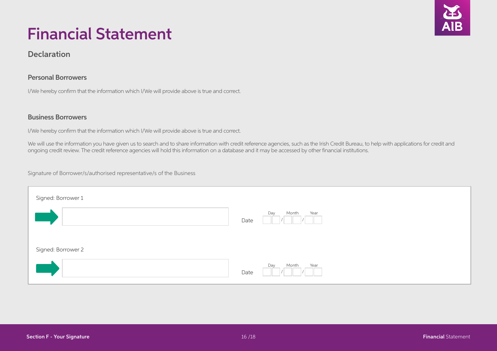

# Financial Statement

## Declaration

## Personal Borrowers

I/We hereby confirm that the information which I/We will provide above is true and correct.

## Business Borrowers

I/We hereby confirm that the information which I/We will provide above is true and correct.

We will use the information you have given us to search and to share information with credit reference agencies, such as the Irish Credit Bureau, to help with applications for credit and ongoing credit review. The credit reference agencies will hold this information on a database and it may be accessed by other financial institutions.

Signature of Borrower/s/authorised representative/s of the Business

| Signed: Borrower 1 |                              |
|--------------------|------------------------------|
|                    | Month<br>Year<br>Day<br>Date |
| Signed: Borrower 2 |                              |
|                    | Month<br>Year<br>Day<br>Date |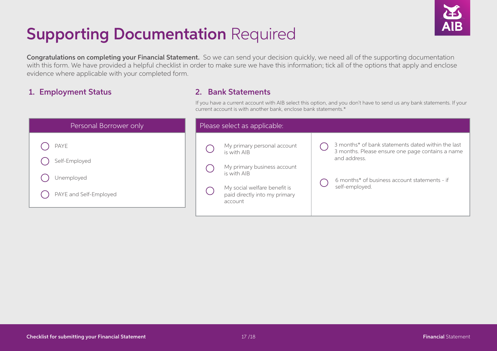

# **Supporting Documentation Required**

Congratulations on completing your Financial Statement. So we can send your decision quickly, we need all of the supporting documentation with this form. We have provided a helpful checklist in order to make sure we have this information; tick all of the options that apply and enclose evidence where applicable with your completed form.

## 1. Employment Status

## 2. Bank Statements

If you have a current account with AIB select this option, and you don't have to send us any bank statements. If your current account is with another bank, enclose bank statements.\*

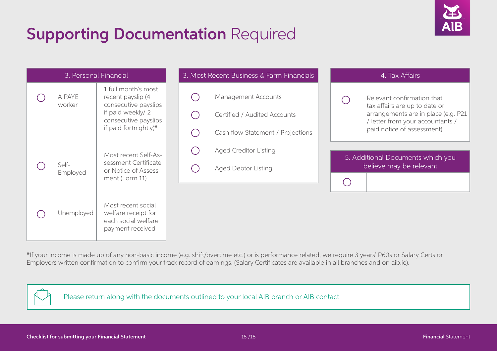# **Supporting Documentation Required**



| 3. Personal Financial |                   | 3. Most Recent Business & Farm Financials                                                                                             |  | 4. Tax Affairs                                                                           |  |                                                                                                                                                                      |
|-----------------------|-------------------|---------------------------------------------------------------------------------------------------------------------------------------|--|------------------------------------------------------------------------------------------|--|----------------------------------------------------------------------------------------------------------------------------------------------------------------------|
|                       | A PAYE<br>worker  | 1 full month's most<br>recent payslip (4<br>consecutive payslips<br>if paid weekly/2<br>consecutive payslips<br>if paid fortnightly)* |  | Management Accounts<br>Certified / Audited Accounts<br>Cash flow Statement / Projections |  | Relevant confirmation that<br>tax affairs are up to date or<br>arrangements are in place (e.g. P21<br>/ letter from your accountants /<br>paid notice of assessment) |
|                       | Self-<br>Employed | Most recent Self-As-<br>sessment Certificate<br>or Notice of Assess-<br>ment (Form 11)                                                |  | <b>Aged Creditor Listing</b><br>Aged Debtor Listing                                      |  | 5. Additional Documents which you<br>believe may be relevant                                                                                                         |
|                       | Unemployed        | Most recent social<br>welfare receipt for<br>each social welfare<br>payment received                                                  |  |                                                                                          |  |                                                                                                                                                                      |

\*If your income is made up of any non-basic income (e.g. shift/overtime etc.) or is performance related, we require 3 years' P60s or Salary Certs or Employers written confirmation to confirm your track record of earnings. (Salary Certificates are available in all branches and on aib.ie).



Please return along with the documents outlined to your local AIB branch or AIB contact